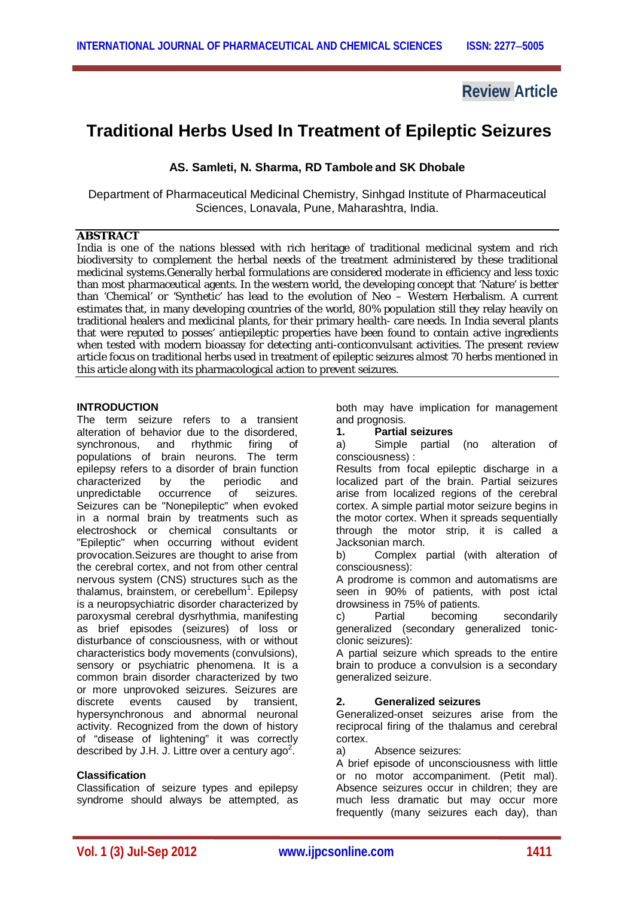**Review Article**

# **Traditional Herbs Used In Treatment of Epileptic Seizures**

**AS. Samleti, N. Sharma, RD Tambole and SK Dhobale**

Department of Pharmaceutical Medicinal Chemistry, Sinhgad Institute of Pharmaceutical Sciences, Lonavala, Pune, Maharashtra, India.

## **ABSTRACT**

India is one of the nations blessed with rich heritage of traditional medicinal system and rich biodiversity to complement the herbal needs of the treatment administered by these traditional medicinal systems.Generally herbal formulations are considered moderate in efficiency and less toxic than most pharmaceutical agents. In the western world, the developing concept that 'Nature' is better than 'Chemical' or 'Synthetic' has lead to the evolution of Neo – Western Herbalism. A current estimates that, in many developing countries of the world, 80% population still they relay heavily on traditional healers and medicinal plants, for their primary health- care needs. In India several plants that were reputed to posses' antiepileptic properties have been found to contain active ingredients when tested with modern bioassay for detecting anti-conticonvulsant activities. The present review article focus on traditional herbs used in treatment of epileptic seizures almost 70 herbs mentioned in this article along with its pharmacological action to prevent seizures.

#### **INTRODUCTION**

The term seizure refers to a transient alteration of behavior due to the disordered, synchronous, and rhythmic firing of populations of brain neurons. The term epilepsy refers to a disorder of brain function<br>characterized by the periodic and characterized by the periodic and unpredictable occurrence of seizures. Seizures can be "Nonepileptic" when evoked in a normal brain by treatments such as electroshock or chemical consultants or "Epileptic" when occurring without evident provocation.Seizures are thought to arise from the cerebral cortex, and not from other central nervous system (CNS) structures such as the thalamus, brainstem, or cerebellum<sup>1</sup>. Epilepsy is a neuropsychiatric disorder characterized by paroxysmal cerebral dysrhythmia, manifesting as brief episodes (seizures) of loss or disturbance of consciousness, with or without characteristics body movements (convulsions), sensory or psychiatric phenomena. It is a common brain disorder characterized by two or more unprovoked seizures. Seizures are discrete events caused by transient, hypersynchronous and abnormal neuronal activity. Recognized from the down of history of "disease of lightening" it was correctly described by J.H. J. Littre over a century ago<sup>2</sup>.

# **Classification**

Classification of seizure types and epilepsy syndrome should always be attempted, as both may have implication for management and prognosis.

**1. Partial seizures** 

a) Simple partial (no alteration of consciousness) :

Results from focal epileptic discharge in a localized part of the brain. Partial seizures arise from localized regions of the cerebral cortex. A simple partial motor seizure begins in the motor cortex. When it spreads sequentially through the motor strip, it is called a Jacksonian march.

b) Complex partial (with alteration of consciousness):

A prodrome is common and automatisms are seen in 90% of patients, with post ictal drowsiness in 75% of patients.

c) Partial becoming secondarily generalized (secondary generalized tonicclonic seizures):

A partial seizure which spreads to the entire brain to produce a convulsion is a secondary generalized seizure.

#### **2. Generalized seizures**

Generalized-onset seizures arise from the reciprocal firing of the thalamus and cerebral cortex.

a) Absence seizures:

A brief episode of unconsciousness with little or no motor accompaniment. (Petit mal). Absence seizures occur in children; they are much less dramatic but may occur more frequently (many seizures each day), than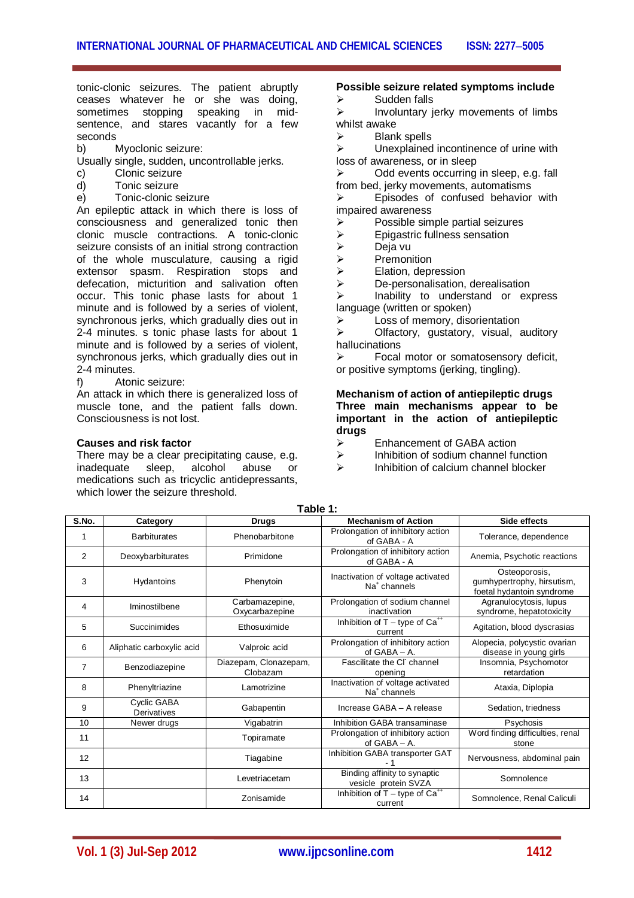#### tonic-clonic seizures. The patient abruptly ceases whatever he or she was doing, sometimes stopping speaking in midsentence, and stares vacantly for a few seconds

- b) Myoclonic seizure:
- Usually single, sudden, uncontrollable jerks.
- c) Clonic seizure
- d) Tonic seizure
- e) Tonic-clonic seizure

An epileptic attack in which there is loss of consciousness and generalized tonic then clonic muscle contractions. A tonic-clonic seizure consists of an initial strong contraction of the whole musculature, causing a rigid extensor spasm. Respiration stops and defecation, micturition and salivation often occur. This tonic phase lasts for about 1 minute and is followed by a series of violent, synchronous jerks, which gradually dies out in 2-4 minutes. s tonic phase lasts for about 1 minute and is followed by a series of violent, synchronous jerks, which gradually dies out in 2-4 minutes.

f) Atonic seizure:

An attack in which there is generalized loss of muscle tone, and the patient falls down. Consciousness is not lost.

#### **Causes and risk factor**

There may be a clear precipitating cause, e.g.<br>
inadequate sleep, alcohol abuse or inadequate sleep, alcohol abuse or medications such as tricyclic antidepressants, which lower the seizure threshold.

#### **Possible seizure related symptoms include**

 $\triangleright$  Sudden falls<br> $\triangleright$  Involuntary is

 Involuntary jerky movements of limbs whilst awake

 $\geq$  Blank spells<br> $\geq$  Unexplained

 Unexplained incontinence of urine with loss of awareness, or in sleep

 $\triangleright$  Odd events occurring in sleep, e.g. fall from bed, jerky movements, automatisms

 $\triangleright$  Episodes of confused behavior with impaired awareness

- $\triangleright$  Possible simple partial seizures
- $\triangleright$  Epigastric fullness sensation<br>  $\triangleright$  Deja vu
- > Deja vu<br>> Premon
- $\triangleright$  Premonition<br>  $\triangleright$  Elation, depr
- $\triangleright$  Elation, depression<br>  $\triangleright$  De-personalisation.

De-personalisation, derealisation

 $\triangleright$  Inability to understand or express language (written or spoken)

 $\triangleright$  Loss of memory, disorientation

 $\triangleright$  Olfactory, gustatory, visual, auditory hallucinations<br>
Focal

 Focal motor or somatosensory deficit, or positive symptoms (jerking, tingling).

**Mechanism of action of antiepileptic drugs Three main mechanisms appear to be important in the action of antiepileptic drugs** 

- $\geq$  Enhancement of GABA action<br> $\geq$  Inhibition of sodium channel fu
- $\triangleright$  Inhibition of sodium channel function<br> $\triangleright$  Inhibition of calcium channel blocker
- Inhibition of calcium channel blocker

| S.No.          | Category                   | <b>Drugs</b>                      | <b>Mechanism of Action</b>                                    | Side effects                                                             |
|----------------|----------------------------|-----------------------------------|---------------------------------------------------------------|--------------------------------------------------------------------------|
|                | <b>Barbiturates</b>        | Phenobarbitone                    | Prolongation of inhibitory action<br>of GABA - A              | Tolerance, dependence                                                    |
| 2              | Deoxybarbiturates          | Primidone                         | Prolongation of inhibitory action<br>of GABA - A              | Anemia, Psychotic reactions                                              |
| 3              | Hydantoins                 | Phenytoin                         | Inactivation of voltage activated<br>Na <sup>+</sup> channels | Osteoporosis,<br>gumhypertrophy, hirsutism,<br>foetal hydantoin syndrome |
| 4              | Iminostilbene              | Carbamazepine,<br>Oxycarbazepine  | Prolongation of sodium channel<br>inactivation                | Agranulocytosis, lupus<br>syndrome, hepatotoxicity                       |
| 5              | Succinimides               | Ethosuximide                      | Inhibition of $T -$ type of $Ca^{++}$<br>current              | Agitation, blood dyscrasias                                              |
| 6              | Aliphatic carboxylic acid  | Valproic acid                     | Prolongation of inhibitory action<br>of $GABA - A$ .          | Alopecia, polycystic ovarian<br>disease in young girls                   |
| $\overline{7}$ | Benzodiazepine             | Diazepam, Clonazepam,<br>Clobazam | Fascilitate the CI channel<br>opening                         | Insomnia, Psychomotor<br>retardation                                     |
| 8              | Phenyltriazine             | Lamotrizine                       | Inactivation of voltage activated<br>Na <sup>+</sup> channels | Ataxia, Diplopia                                                         |
| 9              | Cyclic GABA<br>Derivatives | Gabapentin                        | Increase GABA - A release                                     | Sedation, triedness                                                      |
| 10             | Newer drugs                | Vigabatrin                        | Inhibition GABA transaminase                                  | Psychosis                                                                |
| 11             |                            | Topiramate                        | Prolongation of inhibitory action<br>of GABA - A.             | Word finding difficulties, renal<br>stone                                |
| 12             |                            | Tiagabine                         | Inhibition GABA transporter GAT                               | Nervousness, abdominal pain                                              |
| 13             |                            | Levetriacetam                     | Binding affinity to synaptic<br>vesicle protein SVZA          | Somnolence                                                               |
| 14             |                            | Zonisamide                        | Inhibition of $T$ - type of $Ca^{++}$<br>current              | Somnolence, Renal Caliculi                                               |

**Table 1:**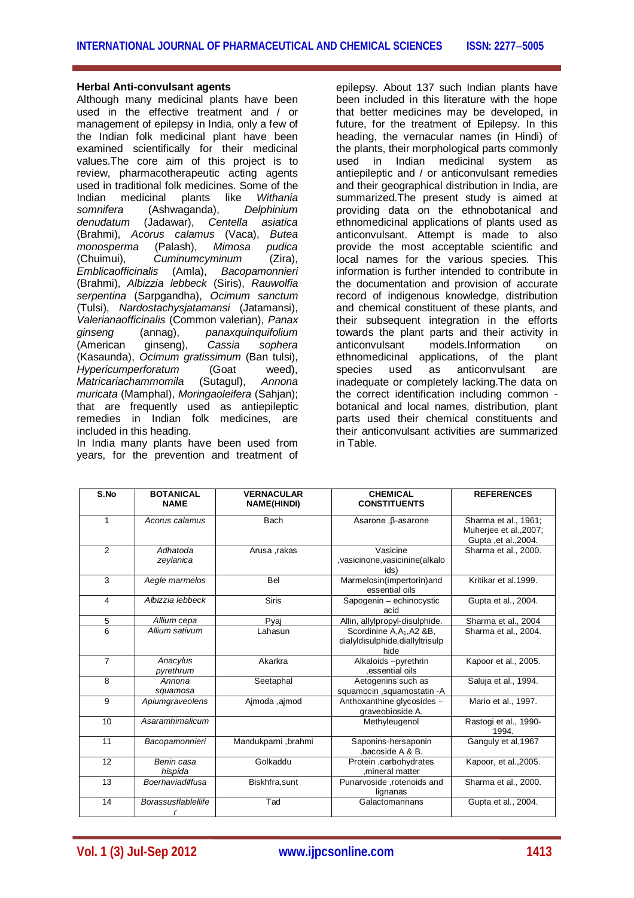#### **Herbal Anti-convulsant agents**

Although many medicinal plants have been used in the effective treatment and / or management of epilepsy in India, only a few of the Indian folk medicinal plant have been examined scientifically for their medicinal values.The core aim of this project is to review, pharmacotherapeutic acting agents used in traditional folk medicines. Some of the Indian medicinal plants like *Withania somnifera* (Ashwaganda), *Delphinium denudatum* (Jadawar), (Brahmi), *Acorus calamus* (Vaca), *Butea monosperma* (Palash), *Mimosa pudica* (Chuimui), *Cuminumcyminum* (Zira), *Emblicaofficinalis* (Amla), *Bacopamonnieri* (Brahmi), *Albizzia lebbeck* (Siris), *Rauwolfia serpentina* (Sarpgandha), *Ocimum sanctum* (Tulsi), *Nardostachysjatamansi* (Jatamansi), *Valerianaofficinalis* (Common valerian), *Panax ginseng* (annag), *panaxquinquifolium* (American ginseng), *Cassia sophera* (Kasaunda), *Ocimum gratissimum* (Ban tulsi), *Hypericumperforatum Matricariachammomila* (Sutagul), *Annona muricata* (Mamphal), *Moringaoleifera* (Sahjan); that are frequently used as antiepileptic remedies in Indian folk medicines, are included in this heading.

In India many plants have been used from years, for the prevention and treatment of epilepsy. About 137 such Indian plants have been included in this literature with the hope that better medicines may be developed, in future, for the treatment of Epilepsy. In this heading, the vernacular names (in Hindi) of the plants, their morphological parts commonly used in Indian medicinal system as antiepileptic and / or anticonvulsant remedies and their geographical distribution in India, are summarized.The present study is aimed at providing data on the ethnobotanical and ethnomedicinal applications of plants used as anticonvulsant. Attempt is made to also provide the most acceptable scientific and local names for the various species. This information is further intended to contribute in the documentation and provision of accurate record of indigenous knowledge, distribution and chemical constituent of these plants, and their subsequent integration in the efforts towards the plant parts and their activity in models.Information on ethnomedicinal applications, of the plant<br>species used as anticonvulsant are species used as anticonvulsant are inadequate or completely lacking.The data on the correct identification including common botanical and local names, distribution, plant parts used their chemical constituents and their anticonvulsant activities are summarized in Table.

| S.No           | <b>BOTANICAL</b><br><b>NAME</b> | <b>VERNACULAR</b><br><b>NAME(HINDI)</b> | <b>CHEMICAL</b><br><b>CONSTITUENTS</b>                                             | <b>REFERENCES</b>                                                       |
|----------------|---------------------------------|-----------------------------------------|------------------------------------------------------------------------------------|-------------------------------------------------------------------------|
| 1              | Acorus calamus                  | <b>Bach</b>                             | Asarone, $\beta$ -asarone                                                          | Sharma et al., 1961;<br>Muherjee et al., 2007;<br>Gupta , et al., 2004. |
| $\mathcal{P}$  | Adhatoda<br>zeylanica           | Arusa ,rakas                            | Vasicine<br>vasicinone, vasicinine (alkalo<br>ids)                                 | Sharma et al., 2000.                                                    |
| $\overline{3}$ | Aegle marmelos                  | Bel                                     | Marmelosin(impertorin)and<br>essential oils                                        | Kritikar et al.1999.                                                    |
| 4              | Albizzia lebbeck                | <b>Siris</b>                            | Sapogenin - echinocystic<br>acid                                                   | Gupta et al., 2004.                                                     |
| 5              | Allium cepa                     | Pyaj                                    | Allin, allylpropyl-disulphide.                                                     | Sharma et al., 2004                                                     |
| 6              | Allium sativum                  | Lahasun                                 | Scordinine A, A <sub>1</sub> , A2 & B,<br>dialyldisulphide, diallyltrisulp<br>hide | Sharma et al., 2004.                                                    |
| $\overline{7}$ | Anacylus<br>pyrethrum           | Akarkra                                 | Alkaloids-pyrethrin<br>.essential oils                                             | Kapoor et al., 2005.                                                    |
| 8              | Annona<br>squamosa              | Seetaphal                               | Aetogenins such as<br>squamocin ,squamostatin -A                                   | Saluja et al., 1994.                                                    |
| 9              | Apiumgraveolens                 | Ajmoda, ajmod                           | Anthoxanthine glycosides -<br>graveobioside A.                                     | Mario et al., 1997.                                                     |
| 10             | Asaramhimalicum                 |                                         | Methyleugenol                                                                      | Rastogi et al., 1990-<br>1994.                                          |
| 11             | Bacopamonnieri                  | Mandukparni, brahmi                     | Saponins-hersaponin<br>bacoside A & B.                                             | Ganguly et al, 1967                                                     |
| 12             | Benin casa<br>hispida           | Golkaddu                                | Protein ,carbohydrates<br>mineral matter                                           | Kapoor, et al., 2005.                                                   |
| 13             | Boerhaviadiffusa                | Biskhfra, sunt                          | Punarvoside, rotenoids and<br>lignanas                                             | Sharma et al., 2000.                                                    |
| 14             | <b>Borassusflablellife</b><br>r | Tad                                     | Galactomannans                                                                     | Gupta et al., 2004.                                                     |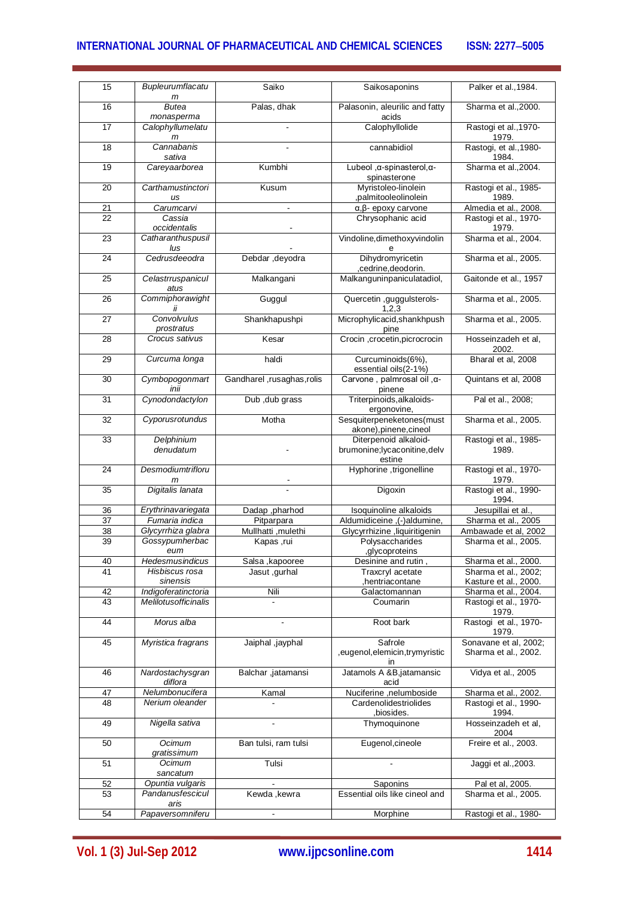# **INTERNATIONAL JOURNAL OF PHARMACEUTICAL AND CHEMICAL SCIENCES ISSN: 2277-5005**

| 15 | Bupleurumflacatu<br>m       | Saiko                     | Saikosaponins                                                    | Palker et al., 1984.                          |
|----|-----------------------------|---------------------------|------------------------------------------------------------------|-----------------------------------------------|
| 16 | Butea<br>monasperma         | Palas, dhak               | Palasonin, aleurilic and fatty<br>acids                          | Sharma et al., 2000.                          |
| 17 | Calophyllumelatu<br>m       |                           | Calophyllolide                                                   | Rastogi et al., 1970-<br>1979.                |
| 18 | Cannabanis<br>sativa        |                           | cannabidiol                                                      | Rastogi, et al., 1980-<br>1984.               |
| 19 | Careyaarborea               | Kumbhi                    | Lubeol, α-spinasterol, α-<br>spinasterone                        | Sharma et al., 2004.                          |
| 20 | Carthamustinctori<br>us     | Kusum                     | Myristoleo-linolein<br>,palmitooleolinolein                      | Rastogi et al., 1985-<br>1989.                |
| 21 | Carumcarvi                  | ÷                         | $\alpha$ , $\beta$ - epoxy carvone                               | Almedia et al., 2008.                         |
| 22 | Cassia<br>occidentalis      |                           | Chrysophanic acid                                                | Rastogi et al., 1970-<br>1979.                |
| 23 | Catharanthuspusil<br>lus    |                           | Vindoline, dimethoxyvindolin<br>е                                | Sharma et al., 2004.                          |
| 24 | Cedrusdeeodra               | Debdar, deyodra           | Dihydromyricetin<br>,cedrine,deodorin.                           | Sharma et al., 2005.                          |
| 25 | Celastrruspanicul<br>atus   | Malkangani                | Malkanguninpaniculatadiol,                                       | Gaitonde et al., 1957                         |
| 26 | Commiphorawight<br>İİ       | Guggul                    | Quercetin , guggulsterols-<br>1,2,3                              | Sharma et al., 2005.                          |
| 27 | Convolvulus<br>prostratus   | Shankhapushpi             | Microphylicacid, shankhpush<br>pine                              | Sharma et al., 2005.                          |
| 28 | Crocus sativus              | Kesar                     | Crocin , crocetin, picrocrocin                                   | Hosseinzadeh et al,<br>2002.                  |
| 29 | Curcuma longa               | haldi                     | Curcuminoids(6%),<br>essential oils(2-1%)                        | Bharal et al, 2008                            |
| 30 | Cymbopogonmart<br>inii      | Gandharel ,rusaghas,rolis | Carvone, palmrosal oil, α-<br>pinene                             | Quintans et al, 2008                          |
| 31 | Cynodondactylon             | Dub, dub grass            | Triterpinoids, alkaloids-<br>ergonovine,                         | Pal et al., 2008;                             |
| 32 | Cyporusrotundus             | Motha                     | Sesquiterpeneketones(must<br>akone), pinene, cineol              | Sharma et al., 2005.                          |
| 33 | Delphinium<br>denudatum     |                           | Diterpenoid alkaloid-<br>brumonine; lycaconitine, delv<br>estine | Rastogi et al., 1985-<br>1989.                |
| 24 | Desmodiumtrifloru<br>m      |                           | Hyphorine, trigonelline                                          | Rastogi et al., 1970-<br>1979.                |
| 35 | Digitalis lanata            |                           | Digoxin                                                          | Rastogi et al., 1990-<br>1994.                |
| 36 | Erythrinavariegata          | Dadap ,pharhod            | Isoquinoline alkaloids                                           | Jesupillai et al.                             |
| 37 | Fumaria indica              | Pitparpara                | Aldumidiceine, (-)aldumine,                                      | Sharma et al., 2005                           |
| 38 | Glycyrrhiza glabra          | Mullhatti , mulethi       | Glycyrrhizine , liquiritigenin                                   | Ambawade et al, 2002                          |
| 39 | Gossypumherbac              |                           | Polysaccharides                                                  |                                               |
|    |                             | Kapas,rui                 |                                                                  | Sharma et al., 2005.                          |
|    | eum                         |                           | ,glycoproteins                                                   |                                               |
| 40 | Hedesmusindicus             | Salsa, kapooree           | Desinine and rutin,                                              | Sharma et al., 2000.                          |
| 41 | Hisbiscus rosa              | Jasut, gurhal             | Traxcryl acetate                                                 | Sharma et al., 2002;                          |
|    | sinensis                    |                           | hentriacontane,                                                  | Kasture et al., 2000.                         |
| 42 | Indigoferatinctoria         | Nili                      | Galactomannan                                                    | Sharma et al., 2004.                          |
| 43 | Melilotusofficinalis        |                           | Coumarin                                                         | Rastogi et al., 1970-                         |
|    |                             |                           |                                                                  | 1979.                                         |
| 44 | Morus alba                  |                           | Root bark                                                        | Rastogi et al., 1970-<br>1979.                |
| 45 | Myristica fragrans          | Jaiphal ,jayphal          | Safrole<br>, eugenol, elemicin, trymyristic<br>ın                | Sonavane et al, 2002;<br>Sharma et al., 2002. |
| 46 | Nardostachysgran<br>diflora | Balchar ,jatamansi        | Jatamols A &B,jatamansic<br>acid                                 | Vidya et al., 2005                            |
| 47 | Nelumbonucifera             | Kamal                     | Nuciferine ,nelumboside                                          | Sharma et al., 2002.                          |
| 48 | Nerium oleander             |                           | Cardenolidestriolides<br>,biosides.                              | Rastogi et al., 1990-<br>1994.                |
| 49 | Nigella sativa              |                           | Thymoquinone                                                     | Hosseinzadeh et al,<br>2004                   |
| 50 | Ocimum<br>gratissimum       | Ban tulsi, ram tulsi      | Eugenol, cineole                                                 | Freire et al., 2003.                          |
| 51 | Ocimum<br>sancatum          | Tulsi                     |                                                                  | Jaggi et al., 2003.                           |
| 52 | Opuntia vulgaris            |                           | Saponins                                                         | Pal et al, 2005.                              |
| 53 | Pandanusfescicul<br>aris    | Kewda, kewra              | Essential oils like cineol and                                   | Sharma et al., 2005.                          |
| 54 | Papaversomniferu            |                           | Morphine                                                         | Rastogi et al., 1980-                         |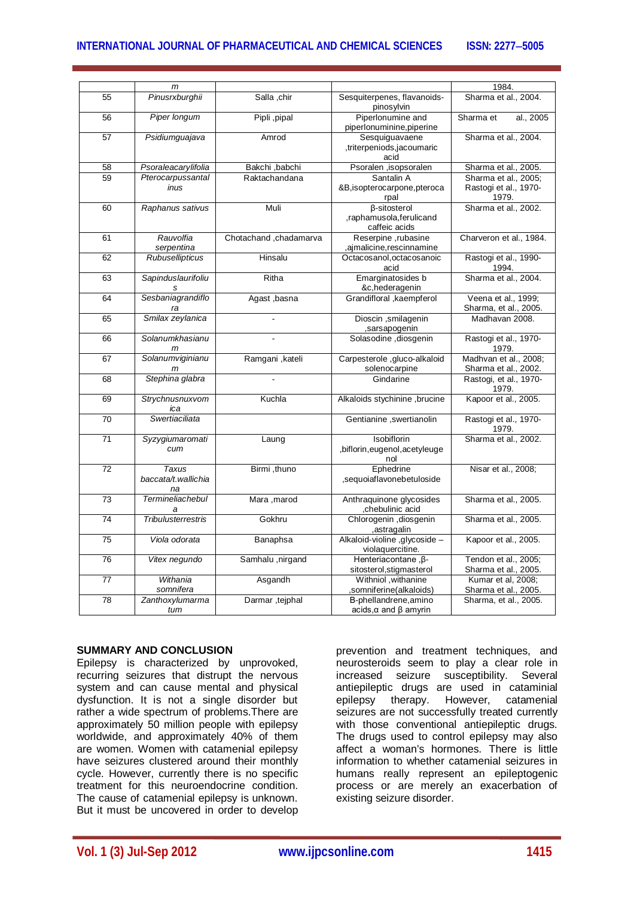# **INTERNATIONAL JOURNAL OF PHARMACEUTICAL AND CHEMICAL SCIENCES ISSN: 22775005**

|    | m                              |                        |                                                | 1984.                   |
|----|--------------------------------|------------------------|------------------------------------------------|-------------------------|
|    |                                |                        |                                                |                         |
| 55 | Pinusrxburghii                 | Salla, chir            | Sesquiterpenes, flavanoids-<br>pinosylvin      | Sharma et al., 2004.    |
| 56 | Piper longum                   | Pipli, pipal           | Piperlonumine and<br>piperlonuminine, piperine | Sharma et<br>al., 2005  |
| 57 | Psidiumguajava                 | Amrod                  | Sesquiguavaene                                 | Sharma et al., 2004.    |
|    |                                |                        | ,triterpeniods,jacoumaric                      |                         |
|    |                                |                        | acid                                           |                         |
| 58 | Psoraleacarylifolia            | Bakchi, babchi         | Psoralen ,isopsoralen                          | Sharma et al., 2005.    |
| 59 | Pterocarpussantal              | Raktachandana          | Santalin A                                     | Sharma et al., 2005;    |
|    | inus                           |                        | &B,isopterocarpone,pteroca                     | Rastogi et al., 1970-   |
|    |                                |                        | rpal                                           | 1979.                   |
| 60 | Raphanus sativus               | Muli                   | <b>ß-sitosterol</b>                            | Sharma et al., 2002.    |
|    |                                |                        | ,raphamusola,ferulicand                        |                         |
|    |                                |                        | caffeic acids                                  |                         |
| 61 | Rauvolfia                      | Chotachand, chadamarva | Reserpine, rubasine                            | Charveron et al., 1984. |
|    | serpentina                     |                        | ,ajmalicine,rescinnamine                       |                         |
| 62 | Rubusellipticus                | Hinsalu                | Octacosanol, octacosanoic                      | Rastogi et al., 1990-   |
|    |                                |                        | acid                                           | 1994.                   |
| 63 | Sapinduslaurifoliu             | Ritha                  | Emarginatosides b                              | Sharma et al., 2004.    |
|    | s                              |                        | &c,hederagenin                                 |                         |
| 64 | Sesbaniagrandiflo              | Agast , basna          | Grandifloral , kaempferol                      | Veena et al., 1999;     |
|    | ra                             |                        |                                                | Sharma, et al., 2005.   |
| 65 | Smilax zeylanica               |                        | Dioscin , smilagenin<br>sarsapogenin,          | Madhavan 2008.          |
| 66 | Solanumkhasianu                |                        | Solasodine , diosgenin                         | Rastogi et al., 1970-   |
|    | m                              |                        |                                                | 1979.                   |
| 67 | Solanumviginianu               | Ramgani, kateli        | Carpesterole , gluco-alkaloid                  | Madhvan et al., 2008;   |
|    |                                |                        | solenocarpine                                  | Sharma et al., 2002.    |
| 68 | Stephina glabra                |                        | Gindarine                                      | Rastogi, et al., 1970-  |
|    |                                |                        |                                                | 1979.                   |
| 69 | Strychnusnuxvom<br>ica         | Kuchla                 | Alkaloids stychinine, brucine                  | Kapoor et al., 2005.    |
| 70 | Swertiaciliata                 |                        | Gentianine, swertianolin                       | Rastogi et al., 1970-   |
|    |                                |                        |                                                | 1979.                   |
| 71 | Syzygiumaromati                | Laung                  | Isobiflorin                                    | Sharma et al., 2002.    |
|    | cum                            |                        | ,biflorin,eugenol,acetyleuge                   |                         |
|    |                                |                        | nol                                            |                         |
| 72 | Taxus                          | Birmi, thuno           | Ephedrine                                      | Nisar et al., 2008;     |
|    | baccata/t.wallichia            |                        | ,sequoiaflavonebetuloside                      |                         |
|    | na                             |                        |                                                |                         |
| 73 | Termineliachebul               | Mara, marod            | Anthraquinone glycosides                       | Sharma et al., 2005.    |
| 74 | a<br><b>Tribulusterrestris</b> | Gokhru                 | chebulinic acid,<br>Chlorogenin , diosgenin    | Sharma et al., 2005.    |
|    |                                |                        | , astragalin                                   |                         |
| 75 | Viola odorata                  | Banaphsa               | Alkaloid-violine, glycoside -                  | Kapoor et al., 2005.    |
|    |                                |                        | violaquercitine.                               |                         |
| 76 | Vitex negundo                  | Samhalu , nirgand      | Henteriacontane, β-                            | Tendon et al., 2005;    |
|    |                                |                        | sitosterol, stigmasterol                       | Sharma et al., 2005.    |
| 77 | Withania                       | Asgandh                | Withniol , withanine                           | Kumar et al, 2008;      |
|    | somnifera                      |                        | ,somniferine(alkaloids)                        | Sharma et al., 2005.    |
| 78 | Zanthoxylumarma                | Darmar, teiphal        | B-phellandrene, amino                          | Sharma, et al., 2005.   |
|    | tum                            |                        | $acids, \alpha$ and $\beta$ amyrin             |                         |

#### **SUMMARY AND CONCLUSION**

Epilepsy is characterized by unprovoked, recurring seizures that distrupt the nervous system and can cause mental and physical dysfunction. It is not a single disorder but rather a wide spectrum of problems.There are approximately 50 million people with epilepsy worldwide, and approximately 40% of them are women. Women with catamenial epilepsy have seizures clustered around their monthly cycle. However, currently there is no specific treatment for this neuroendocrine condition. The cause of catamenial epilepsy is unknown. But it must be uncovered in order to develop

prevention and treatment techniques, and neurosteroids seem to play a clear role in increased seizure susceptibility. Several antiepileptic drugs are used in cataminial epilepsy therapy. However, catamenial seizures are not successfully treated currently with those conventional antiepileptic drugs. The drugs used to control epilepsy may also affect a woman's hormones. There is little information to whether catamenial seizures in humans really represent an epileptogenic process or are merely an exacerbation of existing seizure disorder.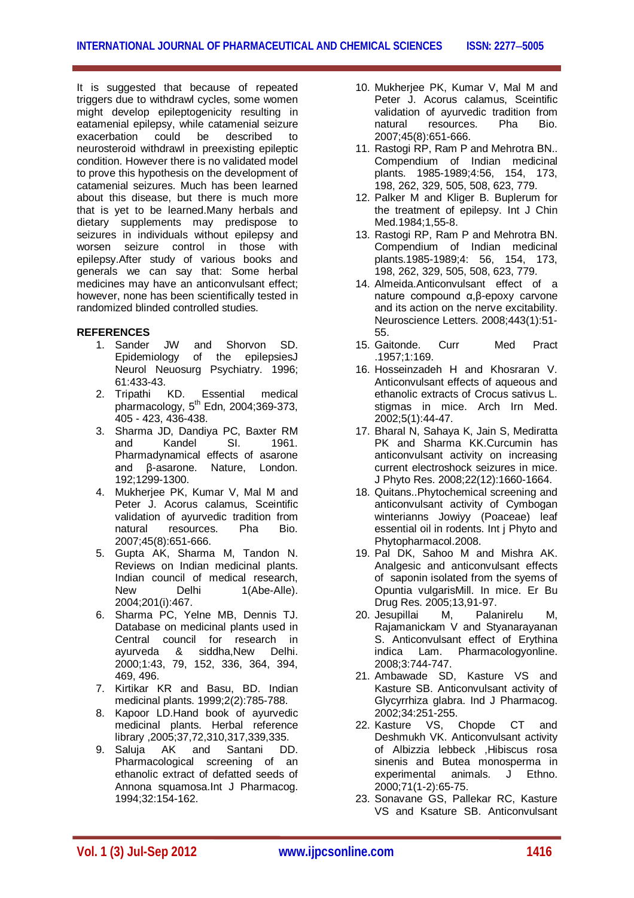It is suggested that because of repeated triggers due to withdrawl cycles, some women might develop epileptogenicity resulting in eatamenial epilepsy, while catamenial seizure exacerbation could be described to neurosteroid withdrawl in preexisting epileptic condition. However there is no validated model to prove this hypothesis on the development of catamenial seizures. Much has been learned about this disease, but there is much more that is yet to be learned.Many herbals and dietary supplements may predispose to seizures in individuals without epilepsy and worsen seizure control in those with epilepsy.After study of various books and generals we can say that: Some herbal medicines may have an anticonvulsant effect; however, none has been scientifically tested in randomized blinded controlled studies.

### **REFERENCES**

- 1. Sander JW and Shorvon SD. Epidemiology of the epilepsiesJ Neurol Neuosurg Psychiatry. 1996; 61:433-43.<br>2. Tripathi KD.
- 2. Tripathi KD. Essential medical pharmacology,  $5^{\text{th}}$  Edn, 2004;369-373, 405 - 423, 436-438.
- 3. Sharma JD, Dandiya PC, Baxter RM and Kandel SI. 1961. Pharmadynamical effects of asarone and β-asarone. Nature, London. 192;1299-1300.
- 4. Mukherjee PK, Kumar V, Mal M and Peter J. Acorus calamus, Sceintific validation of ayurvedic tradition from natural resources. Pha Bio. 2007;45(8):651-666.
- 5. Gupta AK, Sharma M, Tandon N. Reviews on Indian medicinal plants. Indian council of medical research, New Delhi 1(Abe-Alle). 2004;201(i):467.
- 6. Sharma PC, Yelne MB, Dennis TJ. Database on medicinal plants used in Central council for research in ayurveda & siddha,New Delhi. 2000;1:43, 79, 152, 336, 364, 394, 469, 496.
- 7. Kirtikar KR and Basu, BD. Indian medicinal plants. 1999;2(2):785-788.
- 8. Kapoor LD.Hand book of ayurvedic medicinal plants. Herbal reference library ,2005;37,72,310,317,339,335.
- 9. Saluja AK and Santani DD. Pharmacological screening of an ethanolic extract of defatted seeds of Annona squamosa.Int J Pharmacog. 1994;32:154-162.
- 10. Mukherjee PK, Kumar V, Mal M and Peter J. Acorus calamus, Sceintific validation of ayurvedic tradition from<br>
natural resources. Pha Bio. natural resources. 2007;45(8):651-666.
- 11. Rastogi RP, Ram P and Mehrotra BN.. Compendium of Indian medicinal plants. 1985-1989;4:56, 154, 173, 198, 262, 329, 505, 508, 623, 779.
- 12. Palker M and Kliger B. Buplerum for the treatment of epilepsy. Int J Chin Med.1984;1,55-8.
- 13. Rastogi RP, Ram P and Mehrotra BN. Compendium of Indian medicinal plants.1985-1989;4: 56, 154, 173, 198, 262, 329, 505, 508, 623, 779.
- 14. Almeida.Anticonvulsant effect of a nature compound α,β-epoxy carvone and its action on the nerve excitability. Neuroscience Letters. 2008;443(1):51- 55.
- 15. Gaitonde. Curr Med Pract .1957;1:169.
- 16. Hosseinzadeh H and Khosraran V. Anticonvulsant effects of aqueous and ethanolic extracts of Crocus sativus L. stigmas in mice. Arch Irn Med. 2002;5(1):44-47.
- 17. Bharal N, Sahaya K, Jain S, Mediratta PK and Sharma KK.Curcumin has anticonvulsant activity on increasing current electroshock seizures in mice. J Phyto Res. 2008;22(12):1660-1664.
- 18. Quitans..Phytochemical screening and anticonvulsant activity of Cymbogan winterianns Jowiyy (Poaceae) leaf essential oil in rodents. Int j Phyto and Phytopharmacol.2008.
- 19. Pal DK, Sahoo M and Mishra AK. Analgesic and anticonvulsant effects of saponin isolated from the syems of Opuntia vulgarisMill. In mice. Er Bu Drug Res. 2005;13,91-97.<br>Jesupillai M. Palanirelu
- 20. Jesupillai M, Palanirelu M, Rajamanickam V and Styanarayanan S. Anticonvulsant effect of Erythina indica Lam. Pharmacologyonline. 2008;3:744-747.
- 21. Ambawade SD, Kasture VS and Kasture SB. Anticonvulsant activity of Glycyrrhiza glabra. Ind J Pharmacog. 2002;34:251-255.
- 22. Kasture VS, Chopde CT and Deshmukh VK. Anticonvulsant activity of Albizzia lebbeck ,Hibiscus rosa sinenis and Butea monosperma in experimental animals. J Ethno. 2000;71(1-2):65-75.
- 23. Sonavane GS, Pallekar RC, Kasture VS and Ksature SB. Anticonvulsant